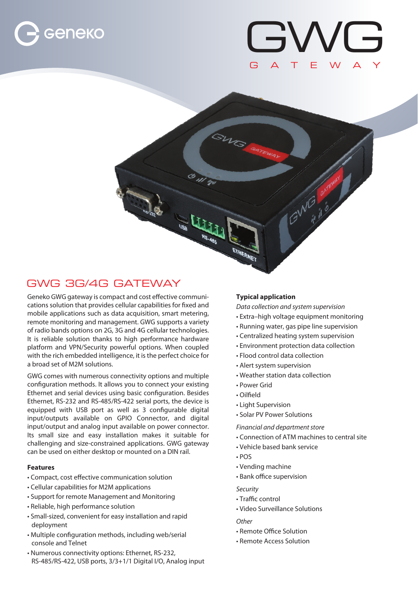



10 001



Geneko GWG gateway is compact and cost effective communications solution that provides cellular capabilities for fixed and mobile applications such as data acquisition, smart metering, remote monitoring and management. GWG supports a variety of radio bands options on 2G, 3G and 4G cellular technologies. It is reliable solution thanks to high performance hardware platform and VPN/Security powerful options. When coupled with the rich embedded intelligence, it is the perfect choice for a broad set of M2M solutions.

GWG comes with numerous connectivity options and multiple configuration methods. It allows you to connect your existing Ethernet and serial devices using basic configuration. Besides Ethernet, RS-232 and RS-485/RS-422 serial ports, the device is equipped with USB port as well as 3 configurable digital input/outputs available on GPIO Connector, and digital input/output and analog input available on power connector. Its small size and easy installation makes it suitable for challenging and size-constrained applications. GWG gateway can be used on either desktop or mounted on a DIN rail.

# **Features**

- Compact, cost effective communication solution
- Cellular capabilities for M2M applications
- Support for remote Management and Monitoring
- Reliable, high performance solution
- Small-sized, convenient for easy installation and rapid deployment
- Multiple configuration methods, including web/serial console and Telnet
- Numerous connectivity options: Ethernet, RS-232, RS-485/RS-422, USB ports, 3/3+1/1 Digital I/O, Analog input

# **Typical application**

GWG .

 $\mathbf{u}_i$ 

*Data collection and system supervision*

- Extra–high voltage equipment monitoring
- Running water, gas pipe line supervision
- Centralized heating system supervision
- Environment protection data collection
- Flood control data collection
- Alert system supervision
- Weather station data collection
- Power Grid
- Oilfield
- Light Supervision
- Solar PV Power Solutions

*Financial and department store*

- Connection of ATM machines to central site
- Vehicle based bank service
- POS
- Vending machine
- Bank office supervision

*Security*

- Traffic control
- Video Surveillance Solutions

# *Other*

- Remote Office Solution
- Remote Access Solution